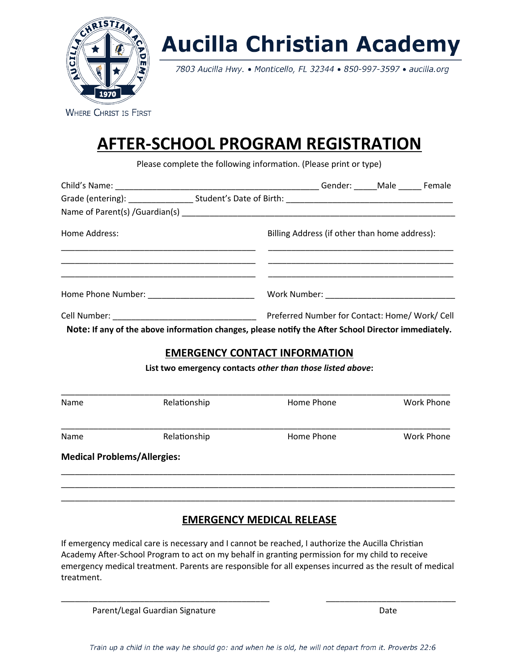

# **Aucilla Christian Academy**

7803 Aucilla Hwy. . Monticello, FL 32344 . 850-997-3597 . aucilla.org

**WHERE CHRIST IS FIRST** 

## **AFTER-SCHOOL PROGRAM REGISTRATION**

Please complete the following information. (Please print or type)

| Home Address: | Billing Address (if other than home address): |                                                |
|---------------|-----------------------------------------------|------------------------------------------------|
|               |                                               |                                                |
|               |                                               | Preferred Number for Contact: Home/ Work/ Cell |

**Note: If any of the above information changes, please notify the After School Director immediately.**

## **EMERGENCY CONTACT INFORMATION**

**List two emergency contacts** *other than those listed above***:**

| <b>Medical Problems/Allergies:</b> |              |            |                   |  |
|------------------------------------|--------------|------------|-------------------|--|
| Name                               | Relationship | Home Phone | <b>Work Phone</b> |  |
| Name                               | Relationship | Home Phone | <b>Work Phone</b> |  |

### **EMERGENCY MEDICAL RELEASE**

\_\_\_\_\_\_\_\_\_\_\_\_\_\_\_\_\_\_\_\_\_\_\_\_\_\_\_\_\_\_\_\_\_\_\_\_\_\_\_\_\_\_\_\_\_\_\_\_\_\_\_\_\_\_\_\_\_\_\_\_\_\_\_\_\_\_\_\_\_\_\_\_\_\_\_\_\_\_\_\_\_\_\_\_\_

If emergency medical care is necessary and I cannot be reached, I authorize the Aucilla Christian Academy After-School Program to act on my behalf in granting permission for my child to receive emergency medical treatment. Parents are responsible for all expenses incurred as the result of medical treatment.

\_\_\_\_\_\_\_\_\_\_\_\_\_\_\_\_\_\_\_\_\_\_\_\_\_\_\_\_\_\_\_\_\_\_\_\_\_\_\_\_\_\_\_\_\_ \_\_\_\_\_\_\_\_\_\_\_\_\_\_\_\_\_\_\_\_\_\_\_\_\_\_\_\_

Parent/Legal Guardian Signature Date Date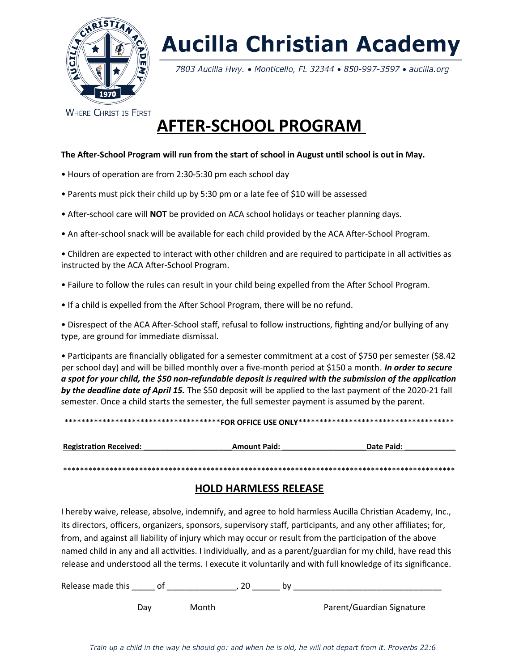

# **Aucilla Christian Academy**

7803 Aucilla Hwy. • Monticello, FL 32344 • 850-997-3597 • aucilla.org

**WHERE CHRIST IS FIRST** 

## **AFTER-SCHOOL PROGRAM**

#### **The After-School Program will run from the start of school in August until school is out in May.**

- Hours of operation are from 2:30-5:30 pm each school day
- Parents must pick their child up by 5:30 pm or a late fee of \$10 will be assessed
- After-school care will **NOT** be provided on ACA school holidays or teacher planning days.
- An after-school snack will be available for each child provided by the ACA After-School Program.

• Children are expected to interact with other children and are required to participate in all activities as instructed by the ACA After-School Program.

- Failure to follow the rules can result in your child being expelled from the After School Program.
- If a child is expelled from the After School Program, there will be no refund.

• Disrespect of the ACA After-School staff, refusal to follow instructions, fighting and/or bullying of any type, are ground for immediate dismissal.

• Participants are financially obligated for a semester commitment at a cost of \$750 per semester (\$8.42 per school day) and will be billed monthly over a five-month period at \$150 a month*. In order to secure a spot for your child, the \$50 non-refundable deposit is required with the submission of the application by the deadline date of April 15.* The \$50 deposit will be applied to the last payment of the 2020-21 fall semester. Once a child starts the semester, the full semester payment is assumed by the parent.

|--|

| <b>Registration Received:</b> | <b>Amount Paid:</b> | Date Paid: |
|-------------------------------|---------------------|------------|
|                               |                     |            |

\*\*\*\*\*\*\*\*\*\*\*\*\*\*\*\*\*\*\*\*\*\*\*\*\*\*\*\*\*\*\*\*\*\*\*\*\*\*\*\*\*\*\*\*\*\*\*\*\*\*\*\*\*\*\*\*\*\*\*\*\*\*\*\*\*\*\*\*\*\*\*\*\*\*\*\*\*\*\*\*\*\*\*\*\*\*\*\*\*\*\*\*\*

#### **HOLD HARMLESS RELEASE**

I hereby waive, release, absolve, indemnify, and agree to hold harmless Aucilla Christian Academy, Inc., its directors, officers, organizers, sponsors, supervisory staff, participants, and any other affiliates; for, from, and against all liability of injury which may occur or result from the participation of the above named child in any and all activities. I individually, and as a parent/guardian for my child, have read this release and understood all the terms. I execute it voluntarily and with full knowledge of its significance.

Release made this \_\_\_\_\_\_ of \_\_\_\_\_\_\_\_\_\_\_\_\_\_\_\_\_, 20 \_\_\_\_\_\_\_\_ by \_\_\_\_\_\_\_\_\_\_\_\_\_\_\_\_\_\_\_

Day Month Parent/Guardian Signature